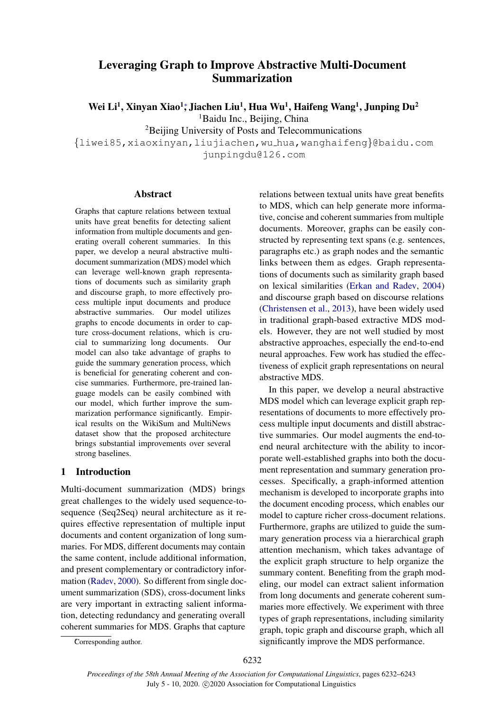# Leveraging Graph to Improve Abstractive Multi-Document Summarization

Wei Li<sup>1</sup>, Xinyan Xiao<sup>1</sup>\*, Jiachen Liu<sup>1</sup>, Hua Wu<sup>1</sup>, Haifeng Wang<sup>1</sup>, Junping Du<sup>2</sup>

<sup>1</sup>Baidu Inc., Beijing, China

<sup>2</sup>Beijing University of Posts and Telecommunications

{liwei85,xiaoxinyan,liujiachen,wu hua,wanghaifeng}@baidu.com junpingdu@126.com

# Abstract

Graphs that capture relations between textual units have great benefits for detecting salient information from multiple documents and generating overall coherent summaries. In this paper, we develop a neural abstractive multidocument summarization (MDS) model which can leverage well-known graph representations of documents such as similarity graph and discourse graph, to more effectively process multiple input documents and produce abstractive summaries. Our model utilizes graphs to encode documents in order to capture cross-document relations, which is crucial to summarizing long documents. Our model can also take advantage of graphs to guide the summary generation process, which is beneficial for generating coherent and concise summaries. Furthermore, pre-trained language models can be easily combined with our model, which further improve the summarization performance significantly. Empirical results on the WikiSum and MultiNews dataset show that the proposed architecture brings substantial improvements over several strong baselines.

# 1 Introduction

Multi-document summarization (MDS) brings great challenges to the widely used sequence-tosequence (Seq2Seq) neural architecture as it requires effective representation of multiple input documents and content organization of long summaries. For MDS, different documents may contain the same content, include additional information, and present complementary or contradictory information [\(Radev,](#page-10-0) [2000\)](#page-10-0). So different from single document summarization (SDS), cross-document links are very important in extracting salient information, detecting redundancy and generating overall coherent summaries for MDS. Graphs that capture

relations between textual units have great benefits to MDS, which can help generate more informative, concise and coherent summaries from multiple documents. Moreover, graphs can be easily constructed by representing text spans (e.g. sentences, paragraphs etc.) as graph nodes and the semantic links between them as edges. Graph representations of documents such as similarity graph based on lexical similarities [\(Erkan and Radev,](#page-9-0) [2004\)](#page-9-0) and discourse graph based on discourse relations [\(Christensen et al.,](#page-8-0) [2013\)](#page-8-0), have been widely used in traditional graph-based extractive MDS models. However, they are not well studied by most abstractive approaches, especially the end-to-end neural approaches. Few work has studied the effectiveness of explicit graph representations on neural abstractive MDS.

In this paper, we develop a neural abstractive MDS model which can leverage explicit graph representations of documents to more effectively process multiple input documents and distill abstractive summaries. Our model augments the end-toend neural architecture with the ability to incorporate well-established graphs into both the document representation and summary generation processes. Specifically, a graph-informed attention mechanism is developed to incorporate graphs into the document encoding process, which enables our model to capture richer cross-document relations. Furthermore, graphs are utilized to guide the summary generation process via a hierarchical graph attention mechanism, which takes advantage of the explicit graph structure to help organize the summary content. Benefiting from the graph modeling, our model can extract salient information from long documents and generate coherent summaries more effectively. We experiment with three types of graph representations, including similarity graph, topic graph and discourse graph, which all significantly improve the MDS performance.

Corresponding author.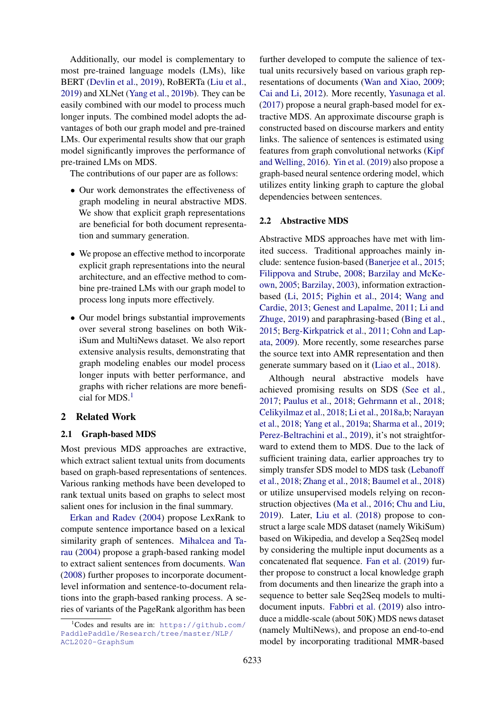Additionally, our model is complementary to most pre-trained language models (LMs), like BERT [\(Devlin et al.,](#page-9-1) [2019\)](#page-9-1), RoBERTa [\(Liu et al.,](#page-10-1) [2019\)](#page-10-1) and XLNet [\(Yang et al.,](#page-11-0) [2019b\)](#page-11-0). They can be easily combined with our model to process much longer inputs. The combined model adopts the advantages of both our graph model and pre-trained LMs. Our experimental results show that our graph model significantly improves the performance of pre-trained LMs on MDS.

The contributions of our paper are as follows:

- Our work demonstrates the effectiveness of graph modeling in neural abstractive MDS. We show that explicit graph representations are beneficial for both document representation and summary generation.
- We propose an effective method to incorporate explicit graph representations into the neural architecture, and an effective method to combine pre-trained LMs with our graph model to process long inputs more effectively.
- Our model brings substantial improvements over several strong baselines on both WikiSum and MultiNews dataset. We also report extensive analysis results, demonstrating that graph modeling enables our model process longer inputs with better performance, and graphs with richer relations are more benefi-cial for MDS.<sup>[1](#page-1-0)</sup>

### 2 Related Work

#### 2.1 Graph-based MDS

Most previous MDS approaches are extractive, which extract salient textual units from documents based on graph-based representations of sentences. Various ranking methods have been developed to rank textual units based on graphs to select most salient ones for inclusion in the final summary.

[Erkan and Radev](#page-9-0) [\(2004\)](#page-9-0) propose LexRank to compute sentence importance based on a lexical similarity graph of sentences. [Mihalcea and Ta](#page-10-2)[rau](#page-10-2) [\(2004\)](#page-10-2) propose a graph-based ranking model to extract salient sentences from documents. [Wan](#page-10-3) [\(2008\)](#page-10-3) further proposes to incorporate documentlevel information and sentence-to-document relations into the graph-based ranking process. A series of variants of the PageRank algorithm has been

further developed to compute the salience of textual units recursively based on various graph representations of documents [\(Wan and Xiao,](#page-10-4) [2009;](#page-10-4) [Cai and Li,](#page-8-1) [2012\)](#page-8-1). More recently, [Yasunaga et al.](#page-11-1) [\(2017\)](#page-11-1) propose a neural graph-based model for extractive MDS. An approximate discourse graph is constructed based on discourse markers and entity links. The salience of sentences is estimated using features from graph convolutional networks [\(Kipf](#page-9-2) [and Welling,](#page-9-2) [2016\)](#page-9-2). [Yin et al.](#page-11-2) [\(2019\)](#page-11-2) also propose a graph-based neural sentence ordering model, which utilizes entity linking graph to capture the global dependencies between sentences.

### 2.2 Abstractive MDS

Abstractive MDS approaches have met with limited success. Traditional approaches mainly include: sentence fusion-based [\(Banerjee et al.,](#page-8-2) [2015;](#page-8-2) [Filippova and Strube,](#page-9-3) [2008;](#page-9-3) [Barzilay and McKe](#page-8-3)[own,](#page-8-3) [2005;](#page-8-3) [Barzilay,](#page-8-4) [2003\)](#page-8-4), information extractionbased [\(Li,](#page-9-4) [2015;](#page-9-4) [Pighin et al.,](#page-10-5) [2014;](#page-10-5) [Wang and](#page-11-3) [Cardie,](#page-11-3) [2013;](#page-11-3) [Genest and Lapalme,](#page-9-5) [2011;](#page-9-5) [Li and](#page-9-6) [Zhuge,](#page-9-6) [2019\)](#page-9-6) and paraphrasing-based [\(Bing et al.,](#page-8-5) [2015;](#page-8-5) [Berg-Kirkpatrick et al.,](#page-8-6) [2011;](#page-8-6) [Cohn and Lap](#page-9-7)[ata,](#page-9-7) [2009\)](#page-9-7). More recently, some researches parse the source text into AMR representation and then generate summary based on it [\(Liao et al.,](#page-9-8) [2018\)](#page-9-8).

Although neural abstractive models have achieved promising results on SDS [\(See et al.,](#page-10-6) [2017;](#page-10-6) [Paulus et al.,](#page-10-7) [2018;](#page-10-7) [Gehrmann et al.,](#page-9-9) [2018;](#page-9-9) [Celikyilmaz et al.,](#page-8-7) [2018;](#page-8-7) [Li et al.,](#page-9-10) [2018a](#page-9-10)[,b;](#page-9-11) [Narayan](#page-10-8) [et al.,](#page-10-8) [2018;](#page-10-8) [Yang et al.,](#page-11-4) [2019a;](#page-11-4) [Sharma et al.,](#page-10-9) [2019;](#page-10-9) [Perez-Beltrachini et al.,](#page-10-10) [2019\)](#page-10-10), it's not straightforward to extend them to MDS. Due to the lack of sufficient training data, earlier approaches try to simply transfer SDS model to MDS task [\(Lebanoff](#page-9-12) [et al.,](#page-9-12) [2018;](#page-9-12) [Zhang et al.,](#page-11-5) [2018;](#page-11-5) [Baumel et al.,](#page-8-8) [2018\)](#page-8-8) or utilize unsupervised models relying on reconstruction objectives [\(Ma et al.,](#page-10-11) [2016;](#page-10-11) [Chu and Liu,](#page-9-13) [2019\)](#page-9-13). Later, [Liu et al.](#page-10-12) [\(2018\)](#page-10-12) propose to construct a large scale MDS dataset (namely WikiSum) based on Wikipedia, and develop a Seq2Seq model by considering the multiple input documents as a concatenated flat sequence. [Fan et al.](#page-9-14) [\(2019\)](#page-9-14) further propose to construct a local knowledge graph from documents and then linearize the graph into a sequence to better sale Seq2Seq models to multidocument inputs. [Fabbri et al.](#page-9-15) [\(2019\)](#page-9-15) also introduce a middle-scale (about 50K) MDS news dataset (namely MultiNews), and propose an end-to-end model by incorporating traditional MMR-based

<span id="page-1-0"></span> $1$ Codes and results are in: [https://github.com/](https://github.com/PaddlePaddle/Research/tree/master/NLP/ACL2020-GraphSum) [PaddlePaddle/Research/tree/master/NLP/](https://github.com/PaddlePaddle/Research/tree/master/NLP/ACL2020-GraphSum) [ACL2020-GraphSum](https://github.com/PaddlePaddle/Research/tree/master/NLP/ACL2020-GraphSum)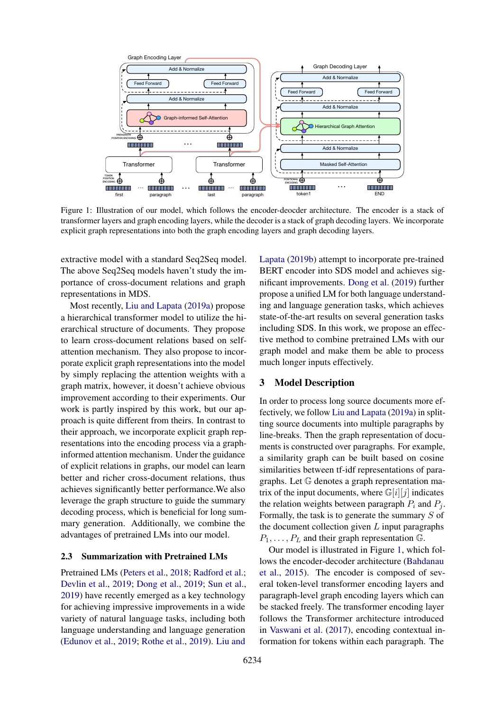<span id="page-2-0"></span>

Figure 1: Illustration of our model, which follows the encoder-deocder architecture. The encoder is a stack of transformer layers and graph encoding layers, while the decoder is a stack of graph decoding layers. We incorporate explicit graph representations into both the graph encoding layers and graph decoding layers.

extractive model with a standard Seq2Seq model. The above Seq2Seq models haven't study the importance of cross-document relations and graph representations in MDS.

Most recently, [Liu and Lapata](#page-10-13) [\(2019a\)](#page-10-13) propose a hierarchical transformer model to utilize the hierarchical structure of documents. They propose to learn cross-document relations based on selfattention mechanism. They also propose to incorporate explicit graph representations into the model by simply replacing the attention weights with a graph matrix, however, it doesn't achieve obvious improvement according to their experiments. Our work is partly inspired by this work, but our approach is quite different from theirs. In contrast to their approach, we incorporate explicit graph representations into the encoding process via a graphinformed attention mechanism. Under the guidance of explicit relations in graphs, our model can learn better and richer cross-document relations, thus achieves significantly better performance.We also leverage the graph structure to guide the summary decoding process, which is beneficial for long summary generation. Additionally, we combine the advantages of pretrained LMs into our model.

### 2.3 Summarization with Pretrained LMs

Pretrained LMs [\(Peters et al.,](#page-10-14) [2018;](#page-10-14) [Radford et al.;](#page-10-15) [Devlin et al.,](#page-9-1) [2019;](#page-9-1) [Dong et al.,](#page-9-16) [2019;](#page-9-16) [Sun et al.,](#page-10-16) [2019\)](#page-10-16) have recently emerged as a key technology for achieving impressive improvements in a wide variety of natural language tasks, including both language understanding and language generation [\(Edunov et al.,](#page-9-17) [2019;](#page-9-17) [Rothe et al.,](#page-10-17) [2019\)](#page-10-17). [Liu and](#page-10-18)

[Lapata](#page-10-18) [\(2019b\)](#page-10-18) attempt to incorporate pre-trained BERT encoder into SDS model and achieves significant improvements. [Dong et al.](#page-9-16) [\(2019\)](#page-9-16) further propose a unified LM for both language understanding and language generation tasks, which achieves state-of-the-art results on several generation tasks including SDS. In this work, we propose an effective method to combine pretrained LMs with our graph model and make them be able to process much longer inputs effectively.

### 3 Model Description

In order to process long source documents more effectively, we follow [Liu and Lapata](#page-10-13) [\(2019a\)](#page-10-13) in splitting source documents into multiple paragraphs by line-breaks. Then the graph representation of documents is constructed over paragraphs. For example, a similarity graph can be built based on cosine similarities between tf-idf representations of paragraphs. Let G denotes a graph representation matrix of the input documents, where  $\mathbb{G}[i][j]$  indicates the relation weights between paragraph  $P_i$  and  $P_i$ . Formally, the task is to generate the summary  $S$  of the document collection given  $L$  input paragraphs  $P_1, \ldots, P_L$  and their graph representation  $\mathbb{G}$ .

Our model is illustrated in Figure [1,](#page-2-0) which follows the encoder-decoder architecture [\(Bahdanau](#page-8-9) [et al.,](#page-8-9) [2015\)](#page-8-9). The encoder is composed of several token-level transformer encoding layers and paragraph-level graph encoding layers which can be stacked freely. The transformer encoding layer follows the Transformer architecture introduced in [Vaswani et al.](#page-10-19) [\(2017\)](#page-10-19), encoding contextual information for tokens within each paragraph. The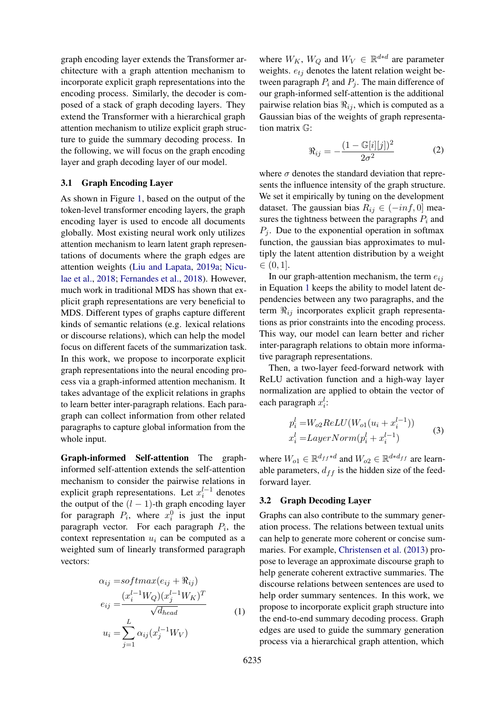graph encoding layer extends the Transformer architecture with a graph attention mechanism to incorporate explicit graph representations into the encoding process. Similarly, the decoder is composed of a stack of graph decoding layers. They extend the Transformer with a hierarchical graph attention mechanism to utilize explicit graph structure to guide the summary decoding process. In the following, we will focus on the graph encoding layer and graph decoding layer of our model.

### 3.1 Graph Encoding Layer

As shown in Figure [1,](#page-2-0) based on the output of the token-level transformer encoding layers, the graph encoding layer is used to encode all documents globally. Most existing neural work only utilizes attention mechanism to learn latent graph representations of documents where the graph edges are attention weights [\(Liu and Lapata,](#page-10-13) [2019a;](#page-10-13) [Nicu](#page-10-20)[lae et al.,](#page-10-20) [2018;](#page-10-20) [Fernandes et al.,](#page-9-18) [2018\)](#page-9-18). However, much work in traditional MDS has shown that explicit graph representations are very beneficial to MDS. Different types of graphs capture different kinds of semantic relations (e.g. lexical relations or discourse relations), which can help the model focus on different facets of the summarization task. In this work, we propose to incorporate explicit graph representations into the neural encoding process via a graph-informed attention mechanism. It takes advantage of the explicit relations in graphs to learn better inter-paragraph relations. Each paragraph can collect information from other related paragraphs to capture global information from the whole input.

Graph-informed Self-attention The graphinformed self-attention extends the self-attention mechanism to consider the pairwise relations in explicit graph representations. Let  $x_i^{l-1}$  denotes the output of the  $(l - 1)$ -th graph encoding layer for paragraph  $P_i$ , where  $x_i^0$  is just the input paragraph vector. For each paragraph  $P_i$ , the context representation  $u_i$  can be computed as a weighted sum of linearly transformed paragraph vectors:

<span id="page-3-0"></span>
$$
\alpha_{ij} = softmax(e_{ij} + \Re_{ij})
$$
  
\n
$$
e_{ij} = \frac{(x_i^{l-1}W_Q)(x_j^{l-1}W_K)^T}{\sqrt{d_{head}}}
$$
  
\n
$$
u_i = \sum_{j=1}^{L} \alpha_{ij} (x_j^{l-1}W_V)
$$
\n(1)

where  $W_K$ ,  $W_Q$  and  $W_V \in \mathbb{R}^{d*d}$  are parameter weights.  $e_{tj}$  denotes the latent relation weight between paragraph  $P_i$  and  $P_j$ . The main difference of our graph-informed self-attention is the additional pairwise relation bias  $\Re_{ij}$ , which is computed as a Gaussian bias of the weights of graph representation matrix G:

$$
\Re_{ij} = -\frac{(1 - \mathbb{G}[i][j])^2}{2\sigma^2} \tag{2}
$$

where  $\sigma$  denotes the standard deviation that represents the influence intensity of the graph structure. We set it empirically by tuning on the development dataset. The gaussian bias  $R_{ij} \in (-inf, 0]$  measures the tightness between the paragraphs  $P_i$  and  $P_i$ . Due to the exponential operation in softmax function, the gaussian bias approximates to multiply the latent attention distribution by a weight  $\in (0, 1]$ .

In our graph-attention mechanism, the term  $e_{ii}$ in Equation [1](#page-3-0) keeps the ability to model latent dependencies between any two paragraphs, and the term  $\Re_{ij}$  incorporates explicit graph representations as prior constraints into the encoding process. This way, our model can learn better and richer inter-paragraph relations to obtain more informative paragraph representations.

Then, a two-layer feed-forward network with ReLU activation function and a high-way layer normalization are applied to obtain the vector of each paragraph  $x_i^l$ :

$$
p_i^l = W_{o2} ReLU(W_{o1}(u_i + x_i^{l-1}))
$$
  
\n
$$
x_i^l = LayerNorm(p_i^l + x_i^{l-1})
$$
\n(3)

where  $W_{o1} \in \mathbb{R}^{d_{ff}*d}$  and  $W_{o2} \in \mathbb{R}^{d*d_{ff}}$  are learnable parameters,  $d_{ff}$  is the hidden size of the feedforward layer.

### 3.2 Graph Decoding Layer

Graphs can also contribute to the summary generation process. The relations between textual units can help to generate more coherent or concise summaries. For example, [Christensen et al.](#page-8-0) [\(2013\)](#page-8-0) propose to leverage an approximate discourse graph to help generate coherent extractive summaries. The discourse relations between sentences are used to help order summary sentences. In this work, we propose to incorporate explicit graph structure into the end-to-end summary decoding process. Graph edges are used to guide the summary generation process via a hierarchical graph attention, which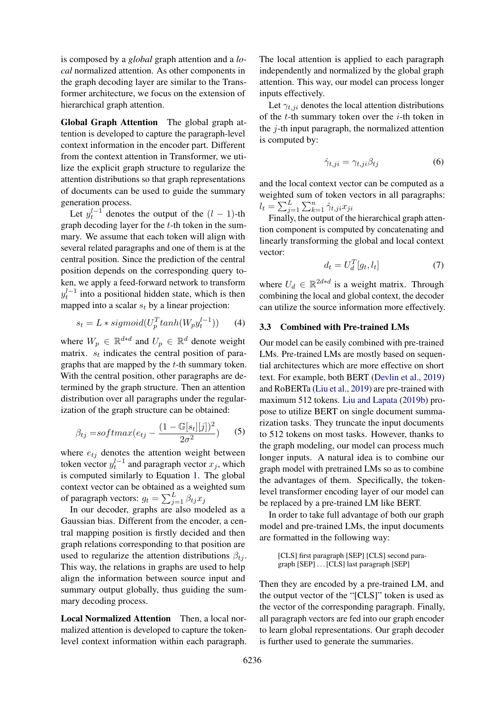is composed by a *global* graph attention and a *local* normalized attention. As other components in the graph decoding layer are similar to the Transformer architecture, we focus on the extension of hierarchical graph attention.

Global Graph Attention The global graph attention is developed to capture the paragraph-level context information in the encoder part. Different from the context attention in Transformer, we utilize the explicit graph structure to regularize the attention distributions so that graph representations of documents can be used to guide the summary generation process.

Let  $y_t^{l-1}$  denotes the output of the  $(l-1)$ -th graph decoding layer for the  $t$ -th token in the summary. We assume that each token will align with several related paragraphs and one of them is at the central position. Since the prediction of the central position depends on the corresponding query token, we apply a feed-forward network to transform  $y_t^{l-1}$  into a positional hidden state, which is then mapped into a scalar  $s_t$  by a linear projection:

$$
s_t = L * sigmoid(U_p^T tanh(W_p y_t^{l-1})) \qquad (4)
$$

where  $W_p \in \mathbb{R}^{d*d}$  and  $U_p \in \mathbb{R}^d$  denote weight matrix.  $s_t$  indicates the central position of paragraphs that are mapped by the t-th summary token. With the central position, other paragraphs are determined by the graph structure. Then an attention distribution over all paragraphs under the regularization of the graph structure can be obtained:

$$
\beta_{tj} = softmax(e_{tj} - \frac{(1 - \mathbb{G}[s_t][j])^2}{2\sigma^2})
$$
 (5)

where  $e_{tj}$  denotes the attention weight between token vector  $y_t^{l-1}$  and paragraph vector  $x_j$ , which is computed similarly to Equation [1.](#page-3-0) The global context vector can be obtained as a weighted sum of paragraph vectors:  $g_t = \sum_{j=1}^{L} \beta_{tj} x_j$ 

In our decoder, graphs are also modeled as a Gaussian bias. Different from the encoder, a central mapping position is firstly decided and then graph relations corresponding to that position are used to regularize the attention distributions  $\beta_{ti}$ . This way, the relations in graphs are used to help align the information between source input and summary output globally, thus guiding the summary decoding process.

Local Normalized Attention Then, a local normalized attention is developed to capture the tokenlevel context information within each paragraph. The local attention is applied to each paragraph independently and normalized by the global graph attention. This way, our model can process longer inputs effectively.

Let  $\gamma_{t,ji}$  denotes the local attention distributions of the  $t$ -th summary token over the  $i$ -th token in the  $j$ -th input paragraph, the normalized attention is computed by:

$$
\hat{\gamma}_{t,ji} = \gamma_{t,ji}\beta_{tj} \tag{6}
$$

and the local context vector can be computed as a weighted sum of token vectors in all paragraphs:  $l_t = \sum_{j=1}^L \sum_{k=1}^n \hat{\gamma}_{t,ji} x_{ji}$ 

Finally, the output of the hierarchical graph attention component is computed by concatenating and linearly transforming the global and local context vector:

$$
d_t = U_d^T[g_t, l_t] \tag{7}
$$

where  $U_d \in \mathbb{R}^{2d*d}$  is a weight matrix. Through combining the local and global context, the decoder can utilize the source information more effectively.

# 3.3 Combined with Pre-trained LMs

Our model can be easily combined with pre-trained LMs. Pre-trained LMs are mostly based on sequential architectures which are more effective on short text. For example, both BERT [\(Devlin et al.,](#page-9-1) [2019\)](#page-9-1) and RoBERTa [\(Liu et al.,](#page-10-1) [2019\)](#page-10-1) are pre-trained with maximum 512 tokens. [Liu and Lapata](#page-10-18) [\(2019b\)](#page-10-18) propose to utilize BERT on single document summarization tasks. They truncate the input documents to 512 tokens on most tasks. However, thanks to the graph modeling, our model can process much longer inputs. A natural idea is to combine our graph model with pretrained LMs so as to combine the advantages of them. Specifically, the tokenlevel transformer encoding layer of our model can be replaced by a pre-trained LM like BERT.

In order to take full advantage of both our graph model and pre-trained LMs, the input documents are formatted in the following way:

> [CLS] first paragraph [SEP] [CLS] second paragraph [SEP] . . . [CLS] last paragraph [SEP]

Then they are encoded by a pre-trained LM, and the output vector of the "[CLS]" token is used as the vector of the corresponding paragraph. Finally, all paragraph vectors are fed into our graph encoder to learn global representations. Our graph decoder is further used to generate the summaries.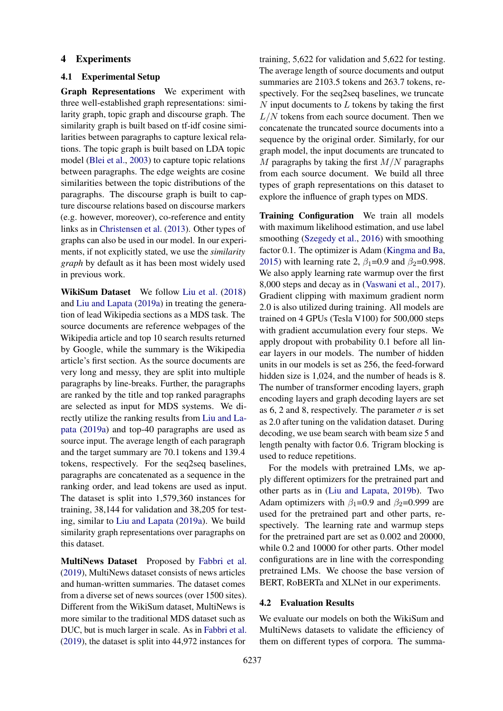### 4 Experiments

### 4.1 Experimental Setup

Graph Representations We experiment with three well-established graph representations: similarity graph, topic graph and discourse graph. The similarity graph is built based on tf-idf cosine similarities between paragraphs to capture lexical relations. The topic graph is built based on LDA topic model [\(Blei et al.,](#page-8-10) [2003\)](#page-8-10) to capture topic relations between paragraphs. The edge weights are cosine similarities between the topic distributions of the paragraphs. The discourse graph is built to capture discourse relations based on discourse markers (e.g. however, moreover), co-reference and entity links as in [Christensen et al.](#page-8-0) [\(2013\)](#page-8-0). Other types of graphs can also be used in our model. In our experiments, if not explicitly stated, we use the *similarity graph* by default as it has been most widely used in previous work.

WikiSum Dataset We follow [Liu et al.](#page-10-12) [\(2018\)](#page-10-12) and [Liu and Lapata](#page-10-13) [\(2019a\)](#page-10-13) in treating the generation of lead Wikipedia sections as a MDS task. The source documents are reference webpages of the Wikipedia article and top 10 search results returned by Google, while the summary is the Wikipedia article's first section. As the source documents are very long and messy, they are split into multiple paragraphs by line-breaks. Further, the paragraphs are ranked by the title and top ranked paragraphs are selected as input for MDS systems. We directly utilize the ranking results from [Liu and La](#page-10-13)[pata](#page-10-13) [\(2019a\)](#page-10-13) and top-40 paragraphs are used as source input. The average length of each paragraph and the target summary are 70.1 tokens and 139.4 tokens, respectively. For the seq2seq baselines, paragraphs are concatenated as a sequence in the ranking order, and lead tokens are used as input. The dataset is split into 1,579,360 instances for training, 38,144 for validation and 38,205 for testing, similar to [Liu and Lapata](#page-10-13) [\(2019a\)](#page-10-13). We build similarity graph representations over paragraphs on this dataset.

MultiNews Dataset Proposed by [Fabbri et al.](#page-9-15) [\(2019\)](#page-9-15), MultiNews dataset consists of news articles and human-written summaries. The dataset comes from a diverse set of news sources (over 1500 sites). Different from the WikiSum dataset, MultiNews is more similar to the traditional MDS dataset such as DUC, but is much larger in scale. As in [Fabbri et al.](#page-9-15) [\(2019\)](#page-9-15), the dataset is split into 44,972 instances for

training, 5,622 for validation and 5,622 for testing. The average length of source documents and output summaries are 2103.5 tokens and 263.7 tokens, respectively. For the seq2seq baselines, we truncate  $N$  input documents to  $L$  tokens by taking the first  $L/N$  tokens from each source document. Then we concatenate the truncated source documents into a sequence by the original order. Similarly, for our graph model, the input documents are truncated to M paragraphs by taking the first  $M/N$  paragraphs from each source document. We build all three types of graph representations on this dataset to explore the influence of graph types on MDS.

Training Configuration We train all models with maximum likelihood estimation, and use label smoothing [\(Szegedy et al.,](#page-10-21) [2016\)](#page-10-21) with smoothing factor 0.1. The optimizer is Adam [\(Kingma and Ba,](#page-9-19) [2015\)](#page-9-19) with learning rate 2,  $\beta_1$ =0.9 and  $\beta_2$ =0.998. We also apply learning rate warmup over the first 8,000 steps and decay as in [\(Vaswani et al.,](#page-10-19) [2017\)](#page-10-19). Gradient clipping with maximum gradient norm 2.0 is also utilized during training. All models are trained on 4 GPUs (Tesla V100) for 500,000 steps with gradient accumulation every four steps. We apply dropout with probability 0.1 before all linear layers in our models. The number of hidden units in our models is set as 256, the feed-forward hidden size is 1,024, and the number of heads is 8. The number of transformer encoding layers, graph encoding layers and graph decoding layers are set as 6, 2 and 8, respectively. The parameter  $\sigma$  is set as 2.0 after tuning on the validation dataset. During decoding, we use beam search with beam size 5 and length penalty with factor 0.6. Trigram blocking is used to reduce repetitions.

For the models with pretrained LMs, we apply different optimizers for the pretrained part and other parts as in [\(Liu and Lapata,](#page-10-18) [2019b\)](#page-10-18). Two Adam optimizers with  $\beta_1=0.9$  and  $\beta_2=0.999$  are used for the pretrained part and other parts, respectively. The learning rate and warmup steps for the pretrained part are set as 0.002 and 20000, while 0.2 and 10000 for other parts. Other model configurations are in line with the corresponding pretrained LMs. We choose the base version of BERT, RoBERTa and XLNet in our experiments.

#### 4.2 Evaluation Results

We evaluate our models on both the WikiSum and MultiNews datasets to validate the efficiency of them on different types of corpora. The summa-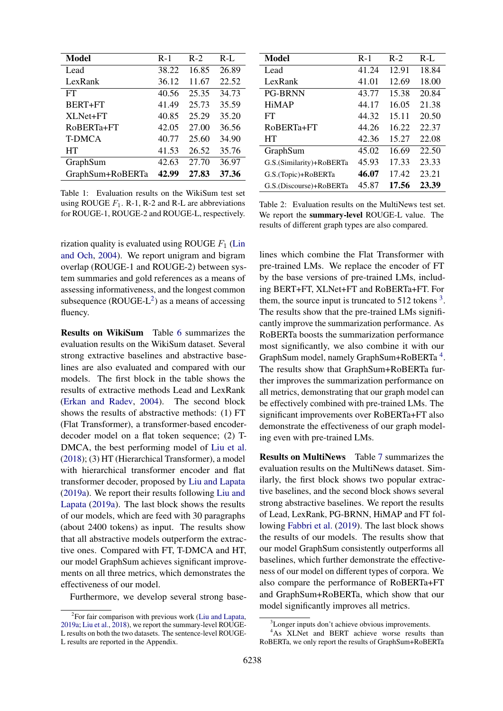| Model            | $R-1$ | $R-2$ | $R-L$ |
|------------------|-------|-------|-------|
| Lead             | 38.22 | 16.85 | 26.89 |
| LexRank          | 36.12 | 11.67 | 22.52 |
| FT               | 40.56 | 25.35 | 34.73 |
| BERT+FT          | 41.49 | 25.73 | 35.59 |
| XLNet+FT         | 40.85 | 25.29 | 35.20 |
| RoBERTa+FT       | 42.05 | 27.00 | 36.56 |
| <b>T-DMCA</b>    | 40.77 | 25.60 | 34.90 |
| HT               | 41.53 | 26.52 | 35.76 |
| GraphSum         | 42.63 | 27.70 | 36.97 |
| GraphSum+RoBERTa | 42.99 | 27.83 | 37.36 |

Table 1: Evaluation results on the WikiSum test set using ROUGE  $F_1$ . R-1, R-2 and R-L are abbreviations for ROUGE-1, ROUGE-2 and ROUGE-L, respectively.

rization quality is evaluated using ROUGE  $F_1$  [\(Lin](#page-9-20) [and Och,](#page-9-20) [2004\)](#page-9-20). We report unigram and bigram overlap (ROUGE-1 and ROUGE-2) between system summaries and gold references as a means of assessing informativeness, and the longest common subsequence  $(ROUGE-L^2)$  $(ROUGE-L^2)$  $(ROUGE-L^2)$  as a means of accessing fluency.

Results on WikiSum Table [6](#page-11-6) summarizes the evaluation results on the WikiSum dataset. Several strong extractive baselines and abstractive baselines are also evaluated and compared with our models. The first block in the table shows the results of extractive methods Lead and LexRank [\(Erkan and Radev,](#page-9-0) [2004\)](#page-9-0). The second block shows the results of abstractive methods: (1) FT (Flat Transformer), a transformer-based encoderdecoder model on a flat token sequence; (2) T-DMCA, the best performing model of [Liu et al.](#page-10-12) [\(2018\)](#page-10-12); (3) HT (Hierarchical Transformer), a model with hierarchical transformer encoder and flat transformer decoder, proposed by [Liu and Lapata](#page-10-13) [\(2019a\)](#page-10-13). We report their results following [Liu and](#page-10-13) [Lapata](#page-10-13) [\(2019a\)](#page-10-13). The last block shows the results of our models, which are feed with 30 paragraphs (about 2400 tokens) as input. The results show that all abstractive models outperform the extractive ones. Compared with FT, T-DMCA and HT, our model GraphSum achieves significant improvements on all three metrics, which demonstrates the effectiveness of our model.

Furthermore, we develop several strong base-

| Model                    | $R-1$ | $R-2$ | $R-L$ |
|--------------------------|-------|-------|-------|
| Lead                     | 41.24 | 12.91 | 18.84 |
| LexRank                  | 41.01 | 12.69 | 18.00 |
| <b>PG-BRNN</b>           | 43.77 | 15.38 | 20.84 |
| <b>HiMAP</b>             | 44.17 | 16.05 | 21.38 |
| FT                       | 44.32 | 15.11 | 20.50 |
| RoBERTa+FT               | 44.26 | 16.22 | 22.37 |
| HT                       | 42.36 | 15.27 | 22.08 |
| GraphSum                 | 45.02 | 16.69 | 22.50 |
| G.S.(Similarity)+RoBERTa | 45.93 | 17.33 | 23.33 |
| G.S.(Topic)+RoBERTa      | 46.07 | 17.42 | 23.21 |
| G.S. (Discourse)+RoBERTa | 45.87 | 17.56 | 23.39 |

Table 2: Evaluation results on the MultiNews test set. We report the summary-level ROUGE-L value. The results of different graph types are also compared.

lines which combine the Flat Transformer with pre-trained LMs. We replace the encoder of FT by the base versions of pre-trained LMs, including BERT+FT, XLNet+FT and RoBERTa+FT. For them, the source input is truncated to  $512$  tokens<sup>[3](#page-6-1)</sup>. The results show that the pre-trained LMs significantly improve the summarization performance. As RoBERTa boosts the summarization performance most significantly, we also combine it with our GraphSum model, namely GraphSum+RoBERTa<sup>[4](#page-6-2)</sup>. The results show that GraphSum+RoBERTa further improves the summarization performance on all metrics, demonstrating that our graph model can be effectively combined with pre-trained LMs. The significant improvements over RoBERTa+FT also demonstrate the effectiveness of our graph modeling even with pre-trained LMs.

Results on MultiNews Table [7](#page-11-7) summarizes the evaluation results on the MultiNews dataset. Similarly, the first block shows two popular extractive baselines, and the second block shows several strong abstractive baselines. We report the results of Lead, LexRank, PG-BRNN, HiMAP and FT following [Fabbri et al.](#page-9-15) [\(2019\)](#page-9-15). The last block shows the results of our models. The results show that our model GraphSum consistently outperforms all baselines, which further demonstrate the effectiveness of our model on different types of corpora. We also compare the performance of RoBERTa+FT and GraphSum+RoBERTa, which show that our model significantly improves all metrics.

<span id="page-6-0"></span><sup>&</sup>lt;sup>2</sup> For fair comparison with previous work [\(Liu and Lapata,](#page-10-13) [2019a;](#page-10-13) [Liu et al.,](#page-10-12) [2018\)](#page-10-12), we report the summary-level ROUGE-L results on both the two datasets. The sentence-level ROUGE-L results are reported in the Appendix.

<span id="page-6-2"></span><span id="page-6-1"></span><sup>&</sup>lt;sup>3</sup>Longer inputs don't achieve obvious improvements.

<sup>&</sup>lt;sup>4</sup>As XLNet and BERT achieve worse results than RoBERTa, we only report the results of GraphSum+RoBERTa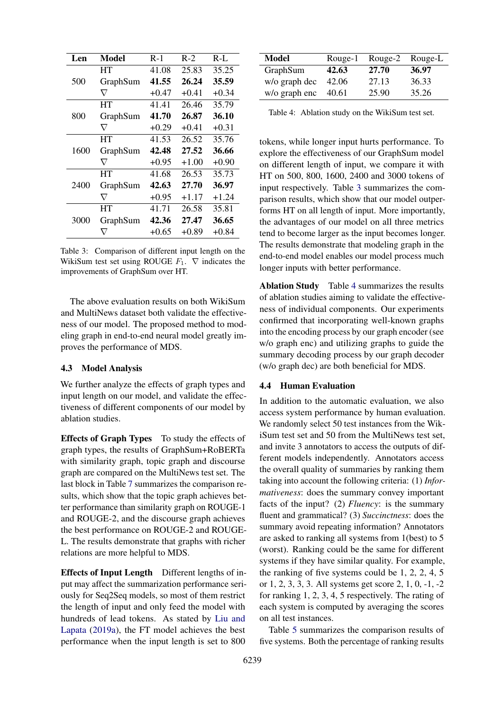<span id="page-7-0"></span>

| Len  | Model    | $R-1$   | $R-2$   | $R-L$   |
|------|----------|---------|---------|---------|
|      | HТ       | 41.08   | 25.83   | 35.25   |
| 500  | GraphSum | 41.55   | 26.24   | 35.59   |
|      | $\nabla$ | $+0.47$ | $+0.41$ | $+0.34$ |
|      | HТ       | 41.41   | 26.46   | 35.79   |
| 800  | GraphSum | 41.70   | 26.87   | 36.10   |
|      | $\nabla$ | $+0.29$ | $+0.41$ | $+0.31$ |
|      | HТ       | 41.53   | 26.52   | 35.76   |
| 1600 | GraphSum | 42.48   | 27.52   | 36.66   |
|      | $\nabla$ | $+0.95$ | $+1.00$ | $+0.90$ |
|      | HТ       | 41.68   | 26.53   | 35.73   |
| 2400 | GraphSum | 42.63   | 27.70   | 36.97   |
|      | $\nabla$ | $+0.95$ | $+1.17$ | $+1.24$ |
|      | HT       | 41.71   | 26.58   | 35.81   |
| 3000 | GraphSum | 42.36   | 27.47   | 36.65   |
|      |          | $+0.65$ | $+0.89$ | $+0.84$ |

Table 3: Comparison of different input length on the WikiSum test set using ROUGE  $F_1$ .  $\nabla$  indicates the improvements of GraphSum over HT.

The above evaluation results on both WikiSum and MultiNews dataset both validate the effectiveness of our model. The proposed method to modeling graph in end-to-end neural model greatly improves the performance of MDS.

#### 4.3 Model Analysis

We further analyze the effects of graph types and input length on our model, and validate the effectiveness of different components of our model by ablation studies.

Effects of Graph Types To study the effects of graph types, the results of GraphSum+RoBERTa with similarity graph, topic graph and discourse graph are compared on the MultiNews test set. The last block in Table [7](#page-11-7) summarizes the comparison results, which show that the topic graph achieves better performance than similarity graph on ROUGE-1 and ROUGE-2, and the discourse graph achieves the best performance on ROUGE-2 and ROUGE-L. The results demonstrate that graphs with richer relations are more helpful to MDS.

Effects of Input Length Different lengths of input may affect the summarization performance seriously for Seq2Seq models, so most of them restrict the length of input and only feed the model with hundreds of lead tokens. As stated by [Liu and](#page-10-13) [Lapata](#page-10-13) [\(2019a\)](#page-10-13), the FT model achieves the best performance when the input length is set to 800

<span id="page-7-1"></span>

| <b>Model</b>  | Rouge-1 | Rouge-2 | Rouge-L |
|---------------|---------|---------|---------|
| GraphSum      | 42.63   | 27.70   | 36.97   |
| w/o graph dec | 42.06   | 27.13   | 36.33   |
| w/o graph enc | 40.61   | 25.90   | 35.26   |

Table 4: Ablation study on the WikiSum test set.

tokens, while longer input hurts performance. To explore the effectiveness of our GraphSum model on different length of input, we compare it with HT on 500, 800, 1600, 2400 and 3000 tokens of input respectively. Table [3](#page-7-0) summarizes the comparison results, which show that our model outperforms HT on all length of input. More importantly, the advantages of our model on all three metrics tend to become larger as the input becomes longer. The results demonstrate that modeling graph in the end-to-end model enables our model process much longer inputs with better performance.

Ablation Study Table [4](#page-7-1) summarizes the results of ablation studies aiming to validate the effectiveness of individual components. Our experiments confirmed that incorporating well-known graphs into the encoding process by our graph encoder (see w/o graph enc) and utilizing graphs to guide the summary decoding process by our graph decoder (w/o graph dec) are both beneficial for MDS.

### 4.4 Human Evaluation

In addition to the automatic evaluation, we also access system performance by human evaluation. We randomly select 50 test instances from the WikiSum test set and 50 from the MultiNews test set, and invite 3 annotators to access the outputs of different models independently. Annotators access the overall quality of summaries by ranking them taking into account the following criteria: (1) *Informativeness*: does the summary convey important facts of the input? (2) *Fluency*: is the summary fluent and grammatical? (3) *Succinctness*: does the summary avoid repeating information? Annotators are asked to ranking all systems from 1(best) to 5 (worst). Ranking could be the same for different systems if they have similar quality. For example, the ranking of five systems could be 1, 2, 2, 4, 5 or 1, 2, 3, 3, 3. All systems get score 2, 1, 0, -1, -2 for ranking 1, 2, 3, 4, 5 respectively. The rating of each system is computed by averaging the scores on all test instances.

Table [5](#page-8-11) summarizes the comparison results of five systems. Both the percentage of ranking results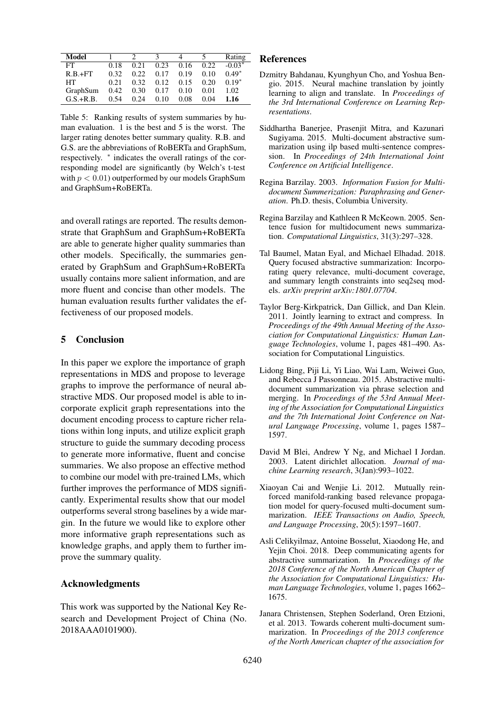<span id="page-8-11"></span>

| Model       |      |       |      |      |       | Rating   |
|-------------|------|-------|------|------|-------|----------|
| FT          | 0.18 | 0.21  | 0.23 | 0.16 | 0.22. | $-0.03*$ |
| $R.B.+FT$   | 0.32 | 0.22. | 0.17 | 0.19 | 0.10  | $0.49*$  |
| HТ          | 0.21 | 0.32  | 0.12 | 0.15 | 0.20  | $0.19*$  |
| GraphSum    | 0.42 | 0.30  | 0.17 | 0.10 | 0.01  | 1.02     |
| $G.S.+R.B.$ | 0.54 | 0.24  | 0.10 | 0.08 | 0.04  | 1.16     |

Table 5: Ranking results of system summaries by human evaluation. 1 is the best and 5 is the worst. The larger rating denotes better summary quality. R.B. and G.S. are the abbreviations of RoBERTa and GraphSum, respectively. <sup>∗</sup> indicates the overall ratings of the corresponding model are significantly (by Welch's t-test with  $p < 0.01$ ) outperformed by our models GraphSum and GraphSum+RoBERTa.

and overall ratings are reported. The results demonstrate that GraphSum and GraphSum+RoBERTa are able to generate higher quality summaries than other models. Specifically, the summaries generated by GraphSum and GraphSum+RoBERTa usually contains more salient information, and are more fluent and concise than other models. The human evaluation results further validates the effectiveness of our proposed models.

# 5 Conclusion

In this paper we explore the importance of graph representations in MDS and propose to leverage graphs to improve the performance of neural abstractive MDS. Our proposed model is able to incorporate explicit graph representations into the document encoding process to capture richer relations within long inputs, and utilize explicit graph structure to guide the summary decoding process to generate more informative, fluent and concise summaries. We also propose an effective method to combine our model with pre-trained LMs, which further improves the performance of MDS significantly. Experimental results show that our model outperforms several strong baselines by a wide margin. In the future we would like to explore other more informative graph representations such as knowledge graphs, and apply them to further improve the summary quality.

# Acknowledgments

This work was supported by the National Key Research and Development Project of China (No. 2018AAA0101900).

# References

- <span id="page-8-9"></span>Dzmitry Bahdanau, Kyunghyun Cho, and Yoshua Bengio. 2015. Neural machine translation by jointly learning to align and translate. In *Proceedings of the 3rd International Conference on Learning Representations*.
- <span id="page-8-2"></span>Siddhartha Banerjee, Prasenjit Mitra, and Kazunari Sugiyama. 2015. Multi-document abstractive summarization using ilp based multi-sentence compression. In *Proceedings of 24th International Joint Conference on Artificial Intelligence*.
- <span id="page-8-4"></span>Regina Barzilay. 2003. *Information Fusion for Multidocument Summerization: Paraphrasing and Generation*. Ph.D. thesis, Columbia University.
- <span id="page-8-3"></span>Regina Barzilay and Kathleen R McKeown. 2005. Sentence fusion for multidocument news summarization. *Computational Linguistics*, 31(3):297–328.
- <span id="page-8-8"></span>Tal Baumel, Matan Eyal, and Michael Elhadad. 2018. Query focused abstractive summarization: Incorporating query relevance, multi-document coverage, and summary length constraints into seq2seq models. *arXiv preprint arXiv:1801.07704*.
- <span id="page-8-6"></span>Taylor Berg-Kirkpatrick, Dan Gillick, and Dan Klein. 2011. Jointly learning to extract and compress. In *Proceedings of the 49th Annual Meeting of the Association for Computational Linguistics: Human Language Technologies*, volume 1, pages 481–490. Association for Computational Linguistics.
- <span id="page-8-5"></span>Lidong Bing, Piji Li, Yi Liao, Wai Lam, Weiwei Guo, and Rebecca J Passonneau. 2015. Abstractive multidocument summarization via phrase selection and merging. In *Proceedings of the 53rd Annual Meeting of the Association for Computational Linguistics and the 7th International Joint Conference on Natural Language Processing*, volume 1, pages 1587– 1597.
- <span id="page-8-10"></span>David M Blei, Andrew Y Ng, and Michael I Jordan. 2003. Latent dirichlet allocation. *Journal of machine Learning research*, 3(Jan):993–1022.
- <span id="page-8-1"></span>Xiaoyan Cai and Wenjie Li. 2012. Mutually reinforced manifold-ranking based relevance propagation model for query-focused multi-document summarization. *IEEE Transactions on Audio, Speech, and Language Processing*, 20(5):1597–1607.
- <span id="page-8-7"></span>Asli Celikyilmaz, Antoine Bosselut, Xiaodong He, and Yejin Choi. 2018. Deep communicating agents for abstractive summarization. In *Proceedings of the 2018 Conference of the North American Chapter of the Association for Computational Linguistics: Human Language Technologies*, volume 1, pages 1662– 1675.
- <span id="page-8-0"></span>Janara Christensen, Stephen Soderland, Oren Etzioni, et al. 2013. Towards coherent multi-document summarization. In *Proceedings of the 2013 conference of the North American chapter of the association for*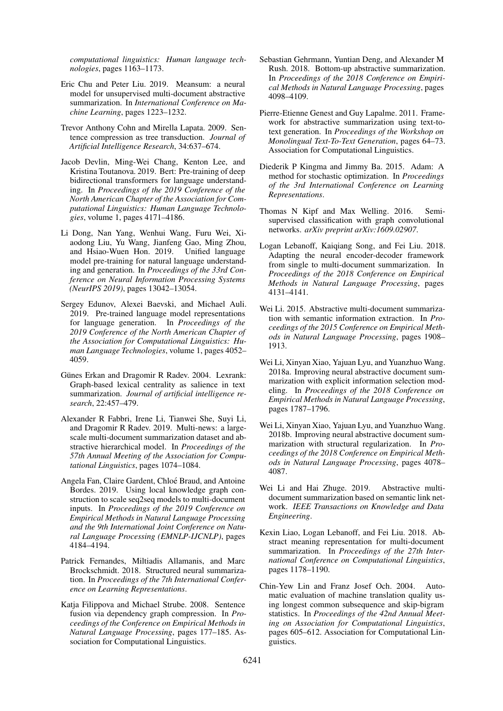*computational linguistics: Human language technologies*, pages 1163–1173.

- <span id="page-9-13"></span>Eric Chu and Peter Liu. 2019. Meansum: a neural model for unsupervised multi-document abstractive summarization. In *International Conference on Machine Learning*, pages 1223–1232.
- <span id="page-9-7"></span>Trevor Anthony Cohn and Mirella Lapata. 2009. Sentence compression as tree transduction. *Journal of Artificial Intelligence Research*, 34:637–674.
- <span id="page-9-1"></span>Jacob Devlin, Ming-Wei Chang, Kenton Lee, and Kristina Toutanova. 2019. Bert: Pre-training of deep bidirectional transformers for language understanding. In *Proceedings of the 2019 Conference of the North American Chapter of the Association for Computational Linguistics: Human Language Technologies*, volume 1, pages 4171–4186.
- <span id="page-9-16"></span>Li Dong, Nan Yang, Wenhui Wang, Furu Wei, Xiaodong Liu, Yu Wang, Jianfeng Gao, Ming Zhou, and Hsiao-Wuen Hon. 2019. Unified language model pre-training for natural language understanding and generation. In *Proceedings of the 33rd Conference on Neural Information Processing Systems (NeurIPS 2019)*, pages 13042–13054.
- <span id="page-9-17"></span>Sergey Edunov, Alexei Baevski, and Michael Auli. 2019. Pre-trained language model representations for language generation. In *Proceedings of the 2019 Conference of the North American Chapter of the Association for Computational Linguistics: Human Language Technologies*, volume 1, pages 4052– 4059.
- <span id="page-9-0"></span>Günes Erkan and Dragomir R Radev. 2004. Lexrank: Graph-based lexical centrality as salience in text summarization. *Journal of artificial intelligence research*, 22:457–479.
- <span id="page-9-15"></span>Alexander R Fabbri, Irene Li, Tianwei She, Suyi Li, and Dragomir R Radev. 2019. Multi-news: a largescale multi-document summarization dataset and abstractive hierarchical model. In *Proceedings of the 57th Annual Meeting of the Association for Computational Linguistics*, pages 1074–1084.
- <span id="page-9-14"></span>Angela Fan, Claire Gardent, Chloé Braud, and Antoine Bordes. 2019. Using local knowledge graph construction to scale seq2seq models to multi-document inputs. In *Proceedings of the 2019 Conference on Empirical Methods in Natural Language Processing and the 9th International Joint Conference on Natural Language Processing (EMNLP-IJCNLP)*, pages 4184–4194.
- <span id="page-9-18"></span>Patrick Fernandes, Miltiadis Allamanis, and Marc Brockschmidt. 2018. Structured neural summarization. In *Proceedings of the 7th International Conference on Learning Representations*.
- <span id="page-9-3"></span>Katja Filippova and Michael Strube. 2008. Sentence fusion via dependency graph compression. In *Proceedings of the Conference on Empirical Methods in Natural Language Processing*, pages 177–185. Association for Computational Linguistics.
- <span id="page-9-9"></span>Sebastian Gehrmann, Yuntian Deng, and Alexander M Rush. 2018. Bottom-up abstractive summarization. In *Proceedings of the 2018 Conference on Empirical Methods in Natural Language Processing*, pages 4098–4109.
- <span id="page-9-5"></span>Pierre-Etienne Genest and Guy Lapalme. 2011. Framework for abstractive summarization using text-totext generation. In *Proceedings of the Workshop on Monolingual Text-To-Text Generation*, pages 64–73. Association for Computational Linguistics.
- <span id="page-9-19"></span>Diederik P Kingma and Jimmy Ba. 2015. Adam: A method for stochastic optimization. In *Proceedings of the 3rd International Conference on Learning Representations*.
- <span id="page-9-2"></span>Thomas N Kipf and Max Welling. 2016. Semisupervised classification with graph convolutional networks. *arXiv preprint arXiv:1609.02907*.
- <span id="page-9-12"></span>Logan Lebanoff, Kaiqiang Song, and Fei Liu. 2018. Adapting the neural encoder-decoder framework from single to multi-document summarization. In *Proceedings of the 2018 Conference on Empirical Methods in Natural Language Processing*, pages 4131–4141.
- <span id="page-9-4"></span>Wei Li. 2015. Abstractive multi-document summarization with semantic information extraction. In *Proceedings of the 2015 Conference on Empirical Methods in Natural Language Processing*, pages 1908– 1913.
- <span id="page-9-10"></span>Wei Li, Xinyan Xiao, Yajuan Lyu, and Yuanzhuo Wang. 2018a. Improving neural abstractive document summarization with explicit information selection modeling. In *Proceedings of the 2018 Conference on Empirical Methods in Natural Language Processing*, pages 1787–1796.
- <span id="page-9-11"></span>Wei Li, Xinyan Xiao, Yajuan Lyu, and Yuanzhuo Wang. 2018b. Improving neural abstractive document summarization with structural regularization. In *Proceedings of the 2018 Conference on Empirical Methods in Natural Language Processing*, pages 4078– 4087.
- <span id="page-9-6"></span>Wei Li and Hai Zhuge. 2019. Abstractive multidocument summarization based on semantic link network. *IEEE Transactions on Knowledge and Data Engineering*.
- <span id="page-9-8"></span>Kexin Liao, Logan Lebanoff, and Fei Liu. 2018. Abstract meaning representation for multi-document summarization. In *Proceedings of the 27th International Conference on Computational Linguistics*, pages 1178–1190.
- <span id="page-9-20"></span>Chin-Yew Lin and Franz Josef Och. 2004. Automatic evaluation of machine translation quality using longest common subsequence and skip-bigram statistics. In *Proceedings of the 42nd Annual Meeting on Association for Computational Linguistics*, pages 605–612. Association for Computational Linguistics.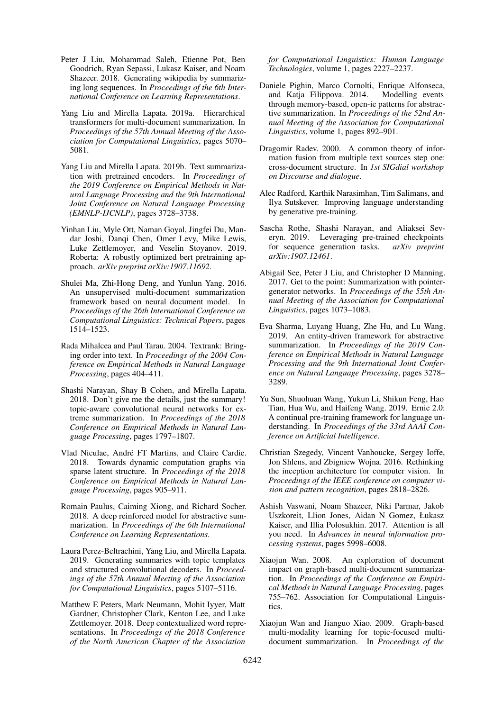- <span id="page-10-12"></span>Peter J Liu, Mohammad Saleh, Etienne Pot, Ben Goodrich, Ryan Sepassi, Lukasz Kaiser, and Noam Shazeer. 2018. Generating wikipedia by summarizing long sequences. In *Proceedings of the 6th International Conference on Learning Representations*.
- <span id="page-10-13"></span>Yang Liu and Mirella Lapata. 2019a. Hierarchical transformers for multi-document summarization. In *Proceedings of the 57th Annual Meeting of the Association for Computational Linguistics*, pages 5070– 5081.
- <span id="page-10-18"></span>Yang Liu and Mirella Lapata. 2019b. Text summarization with pretrained encoders. In *Proceedings of the 2019 Conference on Empirical Methods in Natural Language Processing and the 9th International Joint Conference on Natural Language Processing (EMNLP-IJCNLP)*, pages 3728–3738.
- <span id="page-10-1"></span>Yinhan Liu, Myle Ott, Naman Goyal, Jingfei Du, Mandar Joshi, Danqi Chen, Omer Levy, Mike Lewis, Luke Zettlemoyer, and Veselin Stoyanov. 2019. Roberta: A robustly optimized bert pretraining approach. *arXiv preprint arXiv:1907.11692*.
- <span id="page-10-11"></span>Shulei Ma, Zhi-Hong Deng, and Yunlun Yang. 2016. An unsupervised multi-document summarization framework based on neural document model. In *Proceedings of the 26th International Conference on Computational Linguistics: Technical Papers*, pages 1514–1523.
- <span id="page-10-2"></span>Rada Mihalcea and Paul Tarau. 2004. Textrank: Bringing order into text. In *Proceedings of the 2004 Conference on Empirical Methods in Natural Language Processing*, pages 404–411.
- <span id="page-10-8"></span>Shashi Narayan, Shay B Cohen, and Mirella Lapata. 2018. Don't give me the details, just the summary! topic-aware convolutional neural networks for extreme summarization. In *Proceedings of the 2018 Conference on Empirical Methods in Natural Language Processing*, pages 1797–1807.
- <span id="page-10-20"></span>Vlad Niculae, André FT Martins, and Claire Cardie. 2018. Towards dynamic computation graphs via sparse latent structure. In *Proceedings of the 2018 Conference on Empirical Methods in Natural Language Processing*, pages 905–911.
- <span id="page-10-7"></span>Romain Paulus, Caiming Xiong, and Richard Socher. 2018. A deep reinforced model for abstractive summarization. In *Proceedings of the 6th International Conference on Learning Representations*.
- <span id="page-10-10"></span>Laura Perez-Beltrachini, Yang Liu, and Mirella Lapata. 2019. Generating summaries with topic templates and structured convolutional decoders. In *Proceedings of the 57th Annual Meeting of the Association for Computational Linguistics*, pages 5107–5116.
- <span id="page-10-14"></span>Matthew E Peters, Mark Neumann, Mohit Iyyer, Matt Gardner, Christopher Clark, Kenton Lee, and Luke Zettlemoyer. 2018. Deep contextualized word representations. In *Proceedings of the 2018 Conference of the North American Chapter of the Association*

*for Computational Linguistics: Human Language Technologies*, volume 1, pages 2227–2237.

- <span id="page-10-5"></span>Daniele Pighin, Marco Cornolti, Enrique Alfonseca, and Katja Filippova. 2014. Modelling events through memory-based, open-ie patterns for abstractive summarization. In *Proceedings of the 52nd Annual Meeting of the Association for Computational Linguistics*, volume 1, pages 892–901.
- <span id="page-10-0"></span>Dragomir Radev. 2000. A common theory of information fusion from multiple text sources step one: cross-document structure. In *1st SIGdial workshop on Discourse and dialogue*.
- <span id="page-10-15"></span>Alec Radford, Karthik Narasimhan, Tim Salimans, and Ilya Sutskever. Improving language understanding by generative pre-training.
- <span id="page-10-17"></span>Sascha Rothe, Shashi Narayan, and Aliaksei Severyn. 2019. Leveraging pre-trained checkpoints for sequence generation tasks. *arXiv preprint arXiv:1907.12461*.
- <span id="page-10-6"></span>Abigail See, Peter J Liu, and Christopher D Manning. 2017. Get to the point: Summarization with pointergenerator networks. In *Proceedings of the 55th Annual Meeting of the Association for Computational Linguistics*, pages 1073–1083.
- <span id="page-10-9"></span>Eva Sharma, Luyang Huang, Zhe Hu, and Lu Wang. 2019. An entity-driven framework for abstractive summarization. In *Proceedings of the 2019 Conference on Empirical Methods in Natural Language Processing and the 9th International Joint Conference on Natural Language Processing*, pages 3278– 3289.
- <span id="page-10-16"></span>Yu Sun, Shuohuan Wang, Yukun Li, Shikun Feng, Hao Tian, Hua Wu, and Haifeng Wang. 2019. Ernie 2.0: A continual pre-training framework for language understanding. In *Proceedings of the 33rd AAAI Conference on Artificial Intelligence*.
- <span id="page-10-21"></span>Christian Szegedy, Vincent Vanhoucke, Sergey Ioffe, Jon Shlens, and Zbigniew Wojna. 2016. Rethinking the inception architecture for computer vision. In *Proceedings of the IEEE conference on computer vision and pattern recognition*, pages 2818–2826.
- <span id="page-10-19"></span>Ashish Vaswani, Noam Shazeer, Niki Parmar, Jakob Uszkoreit, Llion Jones, Aidan N Gomez, Łukasz Kaiser, and Illia Polosukhin. 2017. Attention is all you need. In *Advances in neural information processing systems*, pages 5998–6008.
- <span id="page-10-3"></span>Xiaojun Wan. 2008. An exploration of document impact on graph-based multi-document summarization. In *Proceedings of the Conference on Empirical Methods in Natural Language Processing*, pages 755–762. Association for Computational Linguistics.
- <span id="page-10-4"></span>Xiaojun Wan and Jianguo Xiao. 2009. Graph-based multi-modality learning for topic-focused multidocument summarization. In *Proceedings of the*